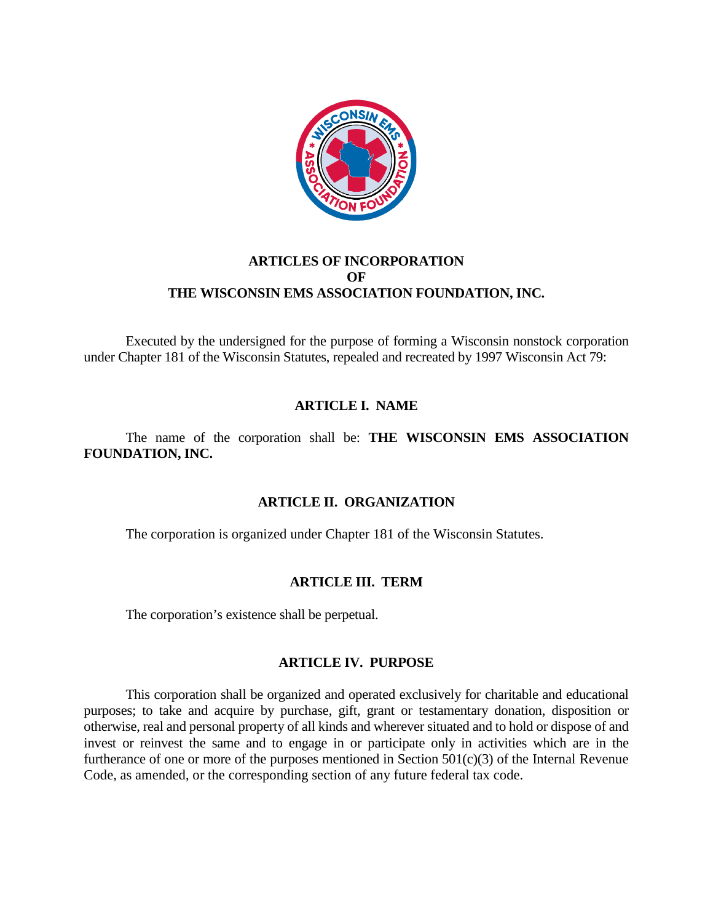

## **ARTICLES OF INCORPORATION OF THE WISCONSIN EMS ASSOCIATION FOUNDATION, INC.**

Executed by the undersigned for the purpose of forming a Wisconsin nonstock corporation under Chapter 181 of the Wisconsin Statutes, repealed and recreated by 1997 Wisconsin Act 79:

## **ARTICLE I. NAME**

The name of the corporation shall be: **THE WISCONSIN EMS ASSOCIATION FOUNDATION, INC.**

## **ARTICLE II. ORGANIZATION**

The corporation is organized under Chapter 181 of the Wisconsin Statutes.

## **ARTICLE III. TERM**

The corporation's existence shall be perpetual.

## **ARTICLE IV. PURPOSE**

This corporation shall be organized and operated exclusively for charitable and educational purposes; to take and acquire by purchase, gift, grant or testamentary donation, disposition or otherwise, real and personal property of all kinds and wherever situated and to hold or dispose of and invest or reinvest the same and to engage in or participate only in activities which are in the furtherance of one or more of the purposes mentioned in Section 501(c)(3) of the Internal Revenue Code, as amended, or the corresponding section of any future federal tax code.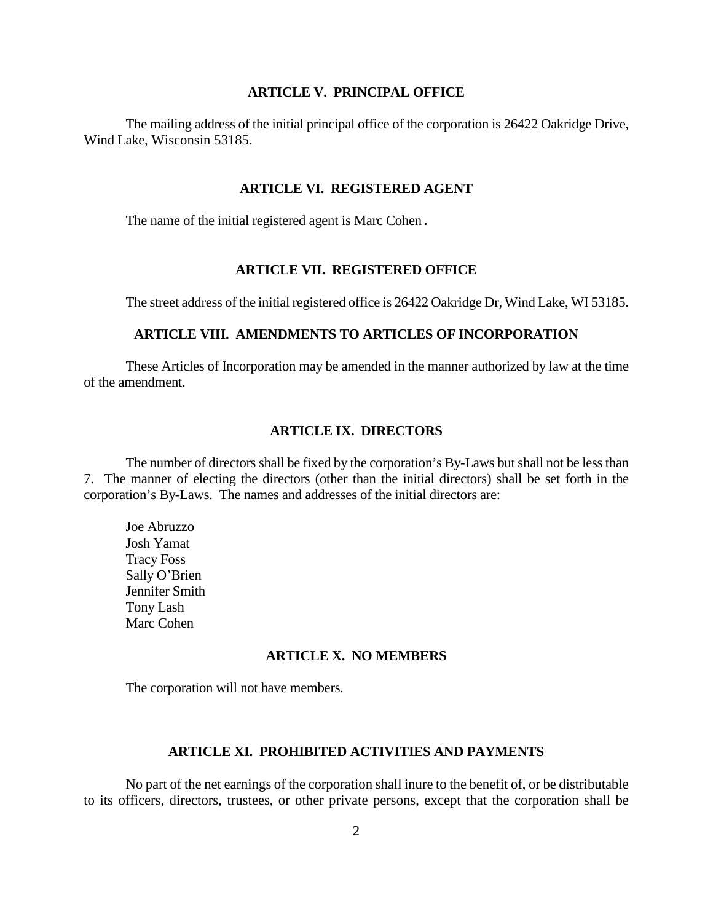### **ARTICLE V. PRINCIPAL OFFICE**

The mailing address of the initial principal office of the corporation is 26422 Oakridge Drive, Wind Lake, Wisconsin 53185.

#### **ARTICLE VI. REGISTERED AGENT**

The name of the initial registered agent is Marc Cohen.

### **ARTICLE VII. REGISTERED OFFICE**

The street address of the initial registered office is 26422 Oakridge Dr, Wind Lake, WI 53185.

### **ARTICLE VIII. AMENDMENTS TO ARTICLES OF INCORPORATION**

These Articles of Incorporation may be amended in the manner authorized by law at the time of the amendment.

### **ARTICLE IX. DIRECTORS**

The number of directors shall be fixed by the corporation's By-Laws but shall not be less than 7. The manner of electing the directors (other than the initial directors) shall be set forth in the corporation's By-Laws. The names and addresses of the initial directors are:

Joe Abruzzo Josh Yamat Tracy Foss Sally O'Brien Jennifer Smith Tony Lash Marc Cohen

#### **ARTICLE X. NO MEMBERS**

The corporation will not have members.

### **ARTICLE XI. PROHIBITED ACTIVITIES AND PAYMENTS**

No part of the net earnings of the corporation shall inure to the benefit of, or be distributable to its officers, directors, trustees, or other private persons, except that the corporation shall be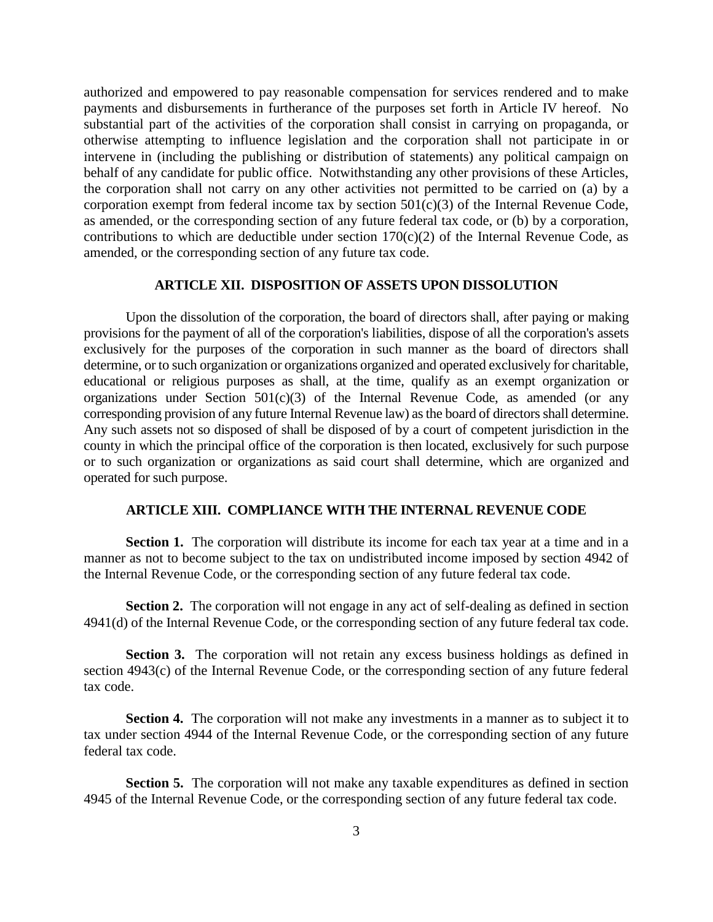authorized and empowered to pay reasonable compensation for services rendered and to make payments and disbursements in furtherance of the purposes set forth in Article IV hereof. No substantial part of the activities of the corporation shall consist in carrying on propaganda, or otherwise attempting to influence legislation and the corporation shall not participate in or intervene in (including the publishing or distribution of statements) any political campaign on behalf of any candidate for public office. Notwithstanding any other provisions of these Articles, the corporation shall not carry on any other activities not permitted to be carried on (a) by a corporation exempt from federal income tax by section  $501(c)(3)$  of the Internal Revenue Code, as amended, or the corresponding section of any future federal tax code, or (b) by a corporation, contributions to which are deductible under section  $170(c)(2)$  of the Internal Revenue Code, as amended, or the corresponding section of any future tax code.

### **ARTICLE XII. DISPOSITION OF ASSETS UPON DISSOLUTION**

Upon the dissolution of the corporation, the board of directors shall, after paying or making provisions for the payment of all of the corporation's liabilities, dispose of all the corporation's assets exclusively for the purposes of the corporation in such manner as the board of directors shall determine, or to such organization or organizations organized and operated exclusively for charitable, educational or religious purposes as shall, at the time, qualify as an exempt organization or organizations under Section  $501(c)(3)$  of the Internal Revenue Code, as amended (or any corresponding provision of any future Internal Revenue law) as the board of directors shall determine. Any such assets not so disposed of shall be disposed of by a court of competent jurisdiction in the county in which the principal office of the corporation is then located, exclusively for such purpose or to such organization or organizations as said court shall determine, which are organized and operated for such purpose.

#### **ARTICLE XIII. COMPLIANCE WITH THE INTERNAL REVENUE CODE**

**Section 1.** The corporation will distribute its income for each tax year at a time and in a manner as not to become subject to the tax on undistributed income imposed by section 4942 of the Internal Revenue Code, or the corresponding section of any future federal tax code.

**Section 2.** The corporation will not engage in any act of self-dealing as defined in section 4941(d) of the Internal Revenue Code, or the corresponding section of any future federal tax code.

**Section 3.** The corporation will not retain any excess business holdings as defined in section 4943(c) of the Internal Revenue Code, or the corresponding section of any future federal tax code.

**Section 4.** The corporation will not make any investments in a manner as to subject it to tax under section 4944 of the Internal Revenue Code, or the corresponding section of any future federal tax code.

**Section 5.** The corporation will not make any taxable expenditures as defined in section 4945 of the Internal Revenue Code, or the corresponding section of any future federal tax code.